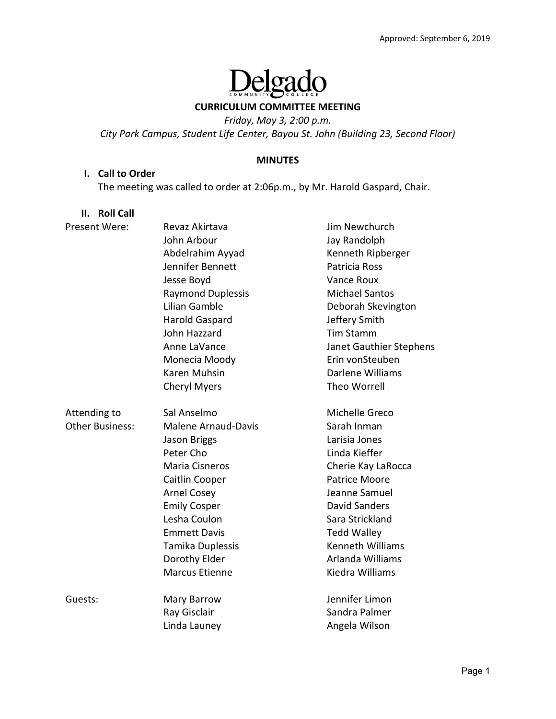# elgado  $\prod_{\text{com}}$

#### **CURRICULUM COMMITTEE MEETING**

*Friday, May 3, 2:00 p.m.* 

*City Park Campus, Student Life Center, Bayou St. John (Building 23, Second Floor)* 

#### **MINUTES**

#### **I. Call to Order**

The meeting was called to order at 2:06p.m., by Mr. Harold Gaspard, Chair.

#### **II. Roll Call**

| Present Were:          | Revaz Akirtava             | Jim Newchurch           |
|------------------------|----------------------------|-------------------------|
|                        | John Arbour                | Jay Randolph            |
|                        | Abdelrahim Ayyad           | Kenneth Ripberger       |
|                        | Jennifer Bennett           | Patricia Ross           |
|                        | Jesse Boyd                 | Vance Roux              |
|                        | <b>Raymond Duplessis</b>   | <b>Michael Santos</b>   |
|                        | Lilian Gamble              | Deborah Skevington      |
|                        | <b>Harold Gaspard</b>      | Jeffery Smith           |
|                        | John Hazzard               | <b>Tim Stamm</b>        |
|                        | Anne LaVance               | Janet Gauthier Stephens |
|                        | Monecia Moody              | Erin vonSteuben         |
|                        | Karen Muhsin               | Darlene Williams        |
|                        | <b>Cheryl Myers</b>        | Theo Worrell            |
| Attending to           | Sal Anselmo                | Michelle Greco          |
| <b>Other Business:</b> | <b>Malene Arnaud-Davis</b> | Sarah Inman             |
|                        | Jason Briggs               | Larisia Jones           |
|                        | Peter Cho                  | Linda Kieffer           |
|                        | Maria Cisneros             | Cherie Kay LaRocca      |
|                        | Caitlin Cooper             | <b>Patrice Moore</b>    |
|                        | <b>Arnel Cosey</b>         | Jeanne Samuel           |
|                        | <b>Emily Cosper</b>        | <b>David Sanders</b>    |
|                        | Lesha Coulon               | Sara Strickland         |
|                        | <b>Emmett Davis</b>        | <b>Tedd Walley</b>      |
|                        | Tamika Duplessis           | <b>Kenneth Williams</b> |
|                        | Dorothy Elder              | Arlanda Williams        |
|                        | <b>Marcus Etienne</b>      | Kiedra Williams         |
| Guests:                | Mary Barrow                | Jennifer Limon          |
|                        | Ray Gisclair               | Sandra Palmer           |
|                        | Linda Launey               | Angela Wilson           |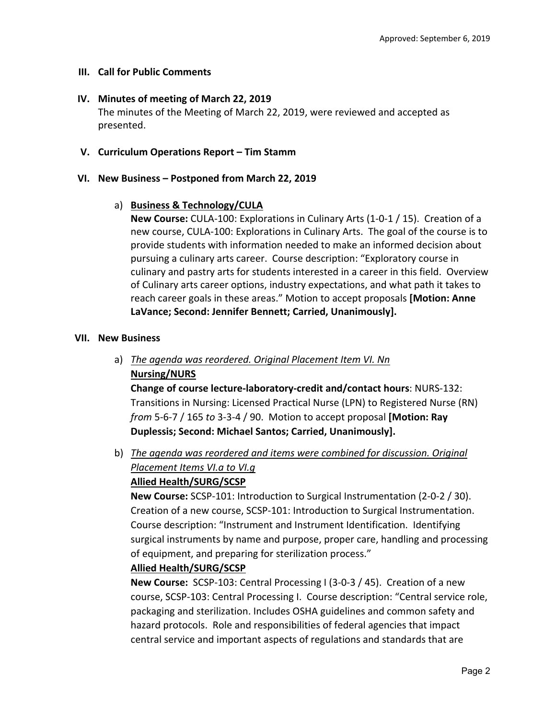### **III. Call for Public Comments**

### **IV. Minutes of meeting of March 22, 2019**

The minutes of the Meeting of March 22, 2019, were reviewed and accepted as presented.

### **V. Curriculum Operations Report – Tim Stamm**

### **VI. New Business – Postponed from March 22, 2019**

### a) **Business & Technology/CULA**

**New Course:** CULA‐100: Explorations in Culinary Arts (1‐0‐1 / 15). Creation of a new course, CULA‐100: Explorations in Culinary Arts. The goal of the course is to provide students with information needed to make an informed decision about pursuing a culinary arts career. Course description: "Exploratory course in culinary and pastry arts for students interested in a career in this field. Overview of Culinary arts career options, industry expectations, and what path it takes to reach career goals in these areas." Motion to accept proposals **[Motion: Anne LaVance; Second: Jennifer Bennett; Carried, Unanimously].**

### **VII. New Business**

a) *The agenda was reordered. Original Placement Item VI. Nn*  **Nursing/NURS** 

**Change of course lecture‐laboratory‐credit and/contact hours**: NURS‐132: Transitions in Nursing: Licensed Practical Nurse (LPN) to Registered Nurse (RN) *from* 5‐6‐7 / 165 *to* 3‐3‐4 / 90. Motion to accept proposal **[Motion: Ray Duplessis; Second: Michael Santos; Carried, Unanimously].**

b) *The agenda was reordered and items were combined for discussion. Original Placement Items VI.a to VI.g* 

### **Allied Health/SURG/SCSP**

**New Course:** SCSP‐101: Introduction to Surgical Instrumentation (2‐0‐2 / 30). Creation of a new course, SCSP‐101: Introduction to Surgical Instrumentation. Course description: "Instrument and Instrument Identification. Identifying surgical instruments by name and purpose, proper care, handling and processing of equipment, and preparing for sterilization process."

### **Allied Health/SURG/SCSP**

**New Course:** SCSP-103: Central Processing I (3-0-3 / 45). Creation of a new course, SCSP‐103: Central Processing I. Course description: "Central service role, packaging and sterilization. Includes OSHA guidelines and common safety and hazard protocols. Role and responsibilities of federal agencies that impact central service and important aspects of regulations and standards that are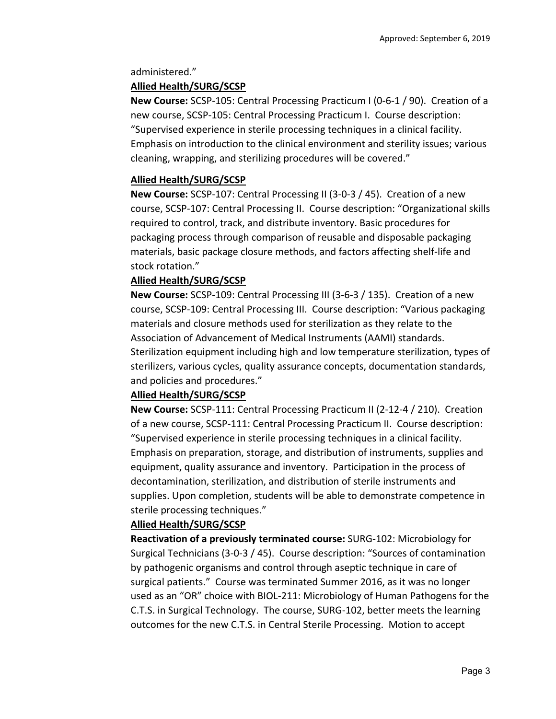administered."

### **Allied Health/SURG/SCSP**

**New Course:** SCSP‐105: Central Processing Practicum I (0‐6‐1 / 90). Creation of a new course, SCSP‐105: Central Processing Practicum I. Course description: "Supervised experience in sterile processing techniques in a clinical facility. Emphasis on introduction to the clinical environment and sterility issues; various cleaning, wrapping, and sterilizing procedures will be covered."

### **Allied Health/SURG/SCSP**

**New Course:** SCSP‐107: Central Processing II (3‐0‐3 / 45). Creation of a new course, SCSP‐107: Central Processing II. Course description: "Organizational skills required to control, track, and distribute inventory. Basic procedures for packaging process through comparison of reusable and disposable packaging materials, basic package closure methods, and factors affecting shelf‐life and stock rotation."

### **Allied Health/SURG/SCSP**

**New Course:** SCSP‐109: Central Processing III (3‐6‐3 / 135). Creation of a new course, SCSP‐109: Central Processing III. Course description: "Various packaging materials and closure methods used for sterilization as they relate to the Association of Advancement of Medical Instruments (AAMI) standards. Sterilization equipment including high and low temperature sterilization, types of sterilizers, various cycles, quality assurance concepts, documentation standards, and policies and procedures."

### **Allied Health/SURG/SCSP**

**New Course:** SCSP‐111: Central Processing Practicum II (2‐12‐4 / 210). Creation of a new course, SCSP‐111: Central Processing Practicum II. Course description: "Supervised experience in sterile processing techniques in a clinical facility. Emphasis on preparation, storage, and distribution of instruments, supplies and equipment, quality assurance and inventory. Participation in the process of decontamination, sterilization, and distribution of sterile instruments and supplies. Upon completion, students will be able to demonstrate competence in sterile processing techniques."

### **Allied Health/SURG/SCSP**

**Reactivation of a previously terminated course:** SURG‐102: Microbiology for Surgical Technicians (3‐0‐3 / 45). Course description: "Sources of contamination by pathogenic organisms and control through aseptic technique in care of surgical patients." Course was terminated Summer 2016, as it was no longer used as an "OR" choice with BIOL‐211: Microbiology of Human Pathogens for the C.T.S. in Surgical Technology. The course, SURG‐102, better meets the learning outcomes for the new C.T.S. in Central Sterile Processing. Motion to accept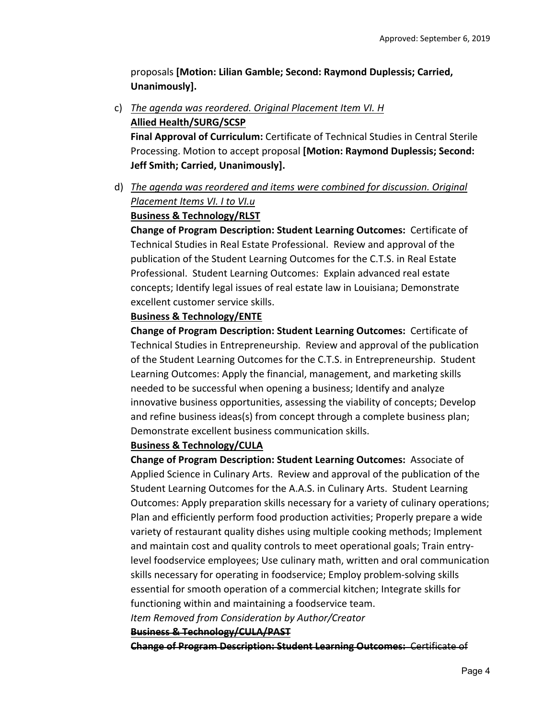proposals **[Motion: Lilian Gamble; Second: Raymond Duplessis; Carried, Unanimously].**

c) *The agenda was reordered. Original Placement Item VI. H*  **Allied Health/SURG/SCSP** 

**Final Approval of Curriculum:** Certificate of Technical Studies in Central Sterile Processing. Motion to accept proposal **[Motion: Raymond Duplessis; Second: Jeff Smith; Carried, Unanimously].**

d) *The agenda was reordered and items were combined for discussion. Original Placement Items VI. I to VI.u* 

# **Business & Technology/RLST**

**Change of Program Description: Student Learning Outcomes: Certificate of** Technical Studies in Real Estate Professional. Review and approval of the publication of the Student Learning Outcomes for the C.T.S. in Real Estate Professional. Student Learning Outcomes: Explain advanced real estate concepts; Identify legal issues of real estate law in Louisiana; Demonstrate excellent customer service skills.

### **Business & Technology/ENTE**

**Change of Program Description: Student Learning Outcomes: Certificate of** Technical Studies in Entrepreneurship. Review and approval of the publication of the Student Learning Outcomes for the C.T.S. in Entrepreneurship. Student Learning Outcomes: Apply the financial, management, and marketing skills needed to be successful when opening a business; Identify and analyze innovative business opportunities, assessing the viability of concepts; Develop and refine business ideas(s) from concept through a complete business plan; Demonstrate excellent business communication skills.

### **Business & Technology/CULA**

**Change of Program Description: Student Learning Outcomes: Associate of** Applied Science in Culinary Arts. Review and approval of the publication of the Student Learning Outcomes for the A.A.S. in Culinary Arts. Student Learning Outcomes: Apply preparation skills necessary for a variety of culinary operations; Plan and efficiently perform food production activities; Properly prepare a wide variety of restaurant quality dishes using multiple cooking methods; Implement and maintain cost and quality controls to meet operational goals; Train entry‐ level foodservice employees; Use culinary math, written and oral communication skills necessary for operating in foodservice; Employ problem‐solving skills essential for smooth operation of a commercial kitchen; Integrate skills for functioning within and maintaining a foodservice team.

*Item Removed from Consideration by Author/Creator*

### **Business & Technology/CULA/PAST**

**Change of Program Description: Student Learning Outcomes:** Certificate of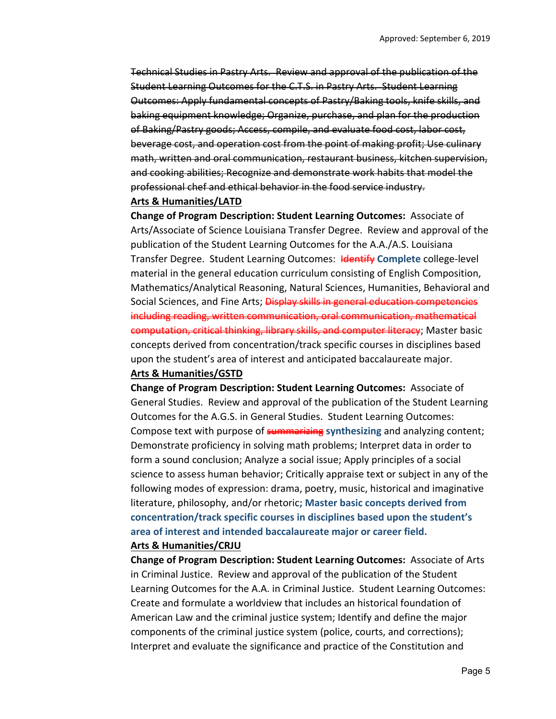Technical Studies in Pastry Arts. Review and approval of the publication of the Student Learning Outcomes for the C.T.S. in Pastry Arts. Student Learning Outcomes: Apply fundamental concepts of Pastry/Baking tools, knife skills, and baking equipment knowledge; Organize, purchase, and plan for the production of Baking/Pastry goods; Access, compile, and evaluate food cost, labor cost, beverage cost, and operation cost from the point of making profit; Use culinary math, written and oral communication, restaurant business, kitchen supervision, and cooking abilities; Recognize and demonstrate work habits that model the professional chef and ethical behavior in the food service industry.

#### **Arts & Humanities/LATD**

**Change of Program Description: Student Learning Outcomes:** Associate of Arts/Associate of Science Louisiana Transfer Degree. Review and approval of the publication of the Student Learning Outcomes for the A.A./A.S. Louisiana Transfer Degree. Student Learning Outcomes: Identify **Complete** college‐level material in the general education curriculum consisting of English Composition, Mathematics/Analytical Reasoning, Natural Sciences, Humanities, Behavioral and Social Sciences, and Fine Arts; Display skills in general education competencies including reading, written communication, oral communication, mathematical computation, critical thinking, library skills, and computer literacy; Master basic concepts derived from concentration/track specific courses in disciplines based upon the student's area of interest and anticipated baccalaureate major.

### **Arts & Humanities/GSTD**

**Change of Program Description: Student Learning Outcomes:** Associate of General Studies. Review and approval of the publication of the Student Learning Outcomes for the A.G.S. in General Studies. Student Learning Outcomes: Compose text with purpose of summarizing **synthesizing** and analyzing content; Demonstrate proficiency in solving math problems; Interpret data in order to form a sound conclusion; Analyze a social issue; Apply principles of a social science to assess human behavior; Critically appraise text or subject in any of the following modes of expression: drama, poetry, music, historical and imaginative literature, philosophy, and/or rhetoric**; Master basic concepts derived from concentration/track specific courses in disciplines based upon the student's area of interest and intended baccalaureate major or career field.** 

#### **Arts & Humanities/CRJU**

**Change of Program Description: Student Learning Outcomes:** Associate of Arts in Criminal Justice. Review and approval of the publication of the Student Learning Outcomes for the A.A. in Criminal Justice. Student Learning Outcomes: Create and formulate a worldview that includes an historical foundation of American Law and the criminal justice system; Identify and define the major components of the criminal justice system (police, courts, and corrections); Interpret and evaluate the significance and practice of the Constitution and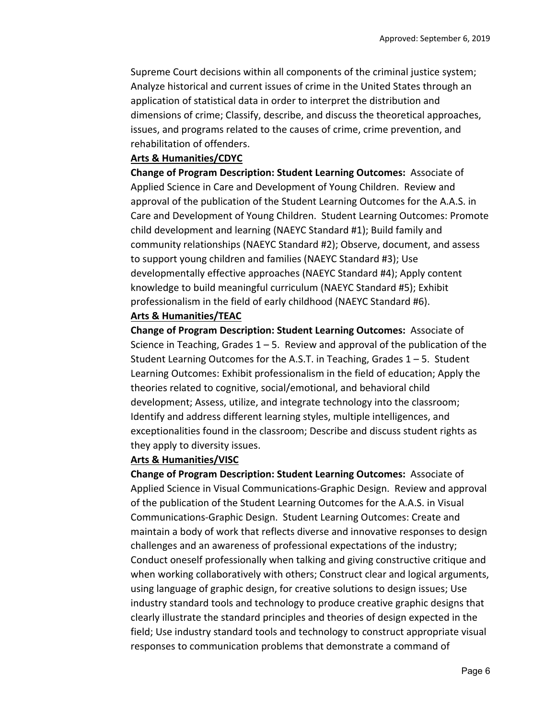Supreme Court decisions within all components of the criminal justice system; Analyze historical and current issues of crime in the United States through an application of statistical data in order to interpret the distribution and dimensions of crime; Classify, describe, and discuss the theoretical approaches, issues, and programs related to the causes of crime, crime prevention, and rehabilitation of offenders.

#### **Arts & Humanities/CDYC**

**Change of Program Description: Student Learning Outcomes: Associate of** Applied Science in Care and Development of Young Children. Review and approval of the publication of the Student Learning Outcomes for the A.A.S. in Care and Development of Young Children. Student Learning Outcomes: Promote child development and learning (NAEYC Standard #1); Build family and community relationships (NAEYC Standard #2); Observe, document, and assess to support young children and families (NAEYC Standard #3); Use developmentally effective approaches (NAEYC Standard #4); Apply content knowledge to build meaningful curriculum (NAEYC Standard #5); Exhibit professionalism in the field of early childhood (NAEYC Standard #6).

### **Arts & Humanities/TEAC**

**Change of Program Description: Student Learning Outcomes: Associate of** Science in Teaching, Grades  $1 - 5$ . Review and approval of the publication of the Student Learning Outcomes for the A.S.T. in Teaching, Grades  $1 - 5$ . Student Learning Outcomes: Exhibit professionalism in the field of education; Apply the theories related to cognitive, social/emotional, and behavioral child development; Assess, utilize, and integrate technology into the classroom; Identify and address different learning styles, multiple intelligences, and exceptionalities found in the classroom; Describe and discuss student rights as they apply to diversity issues.

#### **Arts & Humanities/VISC**

**Change of Program Description: Student Learning Outcomes: Associate of** Applied Science in Visual Communications‐Graphic Design. Review and approval of the publication of the Student Learning Outcomes for the A.A.S. in Visual Communications‐Graphic Design. Student Learning Outcomes: Create and maintain a body of work that reflects diverse and innovative responses to design challenges and an awareness of professional expectations of the industry; Conduct oneself professionally when talking and giving constructive critique and when working collaboratively with others; Construct clear and logical arguments, using language of graphic design, for creative solutions to design issues; Use industry standard tools and technology to produce creative graphic designs that clearly illustrate the standard principles and theories of design expected in the field; Use industry standard tools and technology to construct appropriate visual responses to communication problems that demonstrate a command of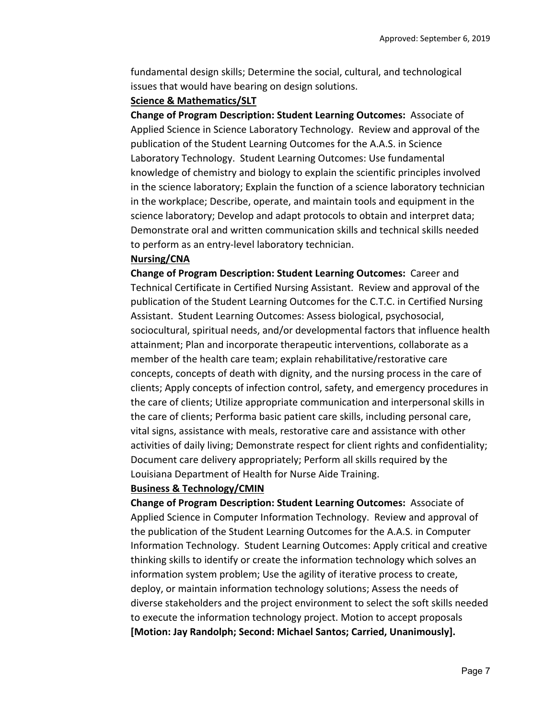fundamental design skills; Determine the social, cultural, and technological issues that would have bearing on design solutions.

#### **Science & Mathematics/SLT**

**Change of Program Description: Student Learning Outcomes: Associate of** Applied Science in Science Laboratory Technology. Review and approval of the publication of the Student Learning Outcomes for the A.A.S. in Science Laboratory Technology. Student Learning Outcomes: Use fundamental knowledge of chemistry and biology to explain the scientific principles involved in the science laboratory; Explain the function of a science laboratory technician in the workplace; Describe, operate, and maintain tools and equipment in the science laboratory; Develop and adapt protocols to obtain and interpret data; Demonstrate oral and written communication skills and technical skills needed to perform as an entry‐level laboratory technician.

#### **Nursing/CNA**

**Change of Program Description: Student Learning Outcomes: Career and** Technical Certificate in Certified Nursing Assistant. Review and approval of the publication of the Student Learning Outcomes for the C.T.C. in Certified Nursing Assistant. Student Learning Outcomes: Assess biological, psychosocial, sociocultural, spiritual needs, and/or developmental factors that influence health attainment; Plan and incorporate therapeutic interventions, collaborate as a member of the health care team; explain rehabilitative/restorative care concepts, concepts of death with dignity, and the nursing process in the care of clients; Apply concepts of infection control, safety, and emergency procedures in the care of clients; Utilize appropriate communication and interpersonal skills in the care of clients; Performa basic patient care skills, including personal care, vital signs, assistance with meals, restorative care and assistance with other activities of daily living; Demonstrate respect for client rights and confidentiality; Document care delivery appropriately; Perform all skills required by the Louisiana Department of Health for Nurse Aide Training.

#### **Business & Technology/CMIN**

**Change of Program Description: Student Learning Outcomes: Associate of** Applied Science in Computer Information Technology. Review and approval of the publication of the Student Learning Outcomes for the A.A.S. in Computer Information Technology. Student Learning Outcomes: Apply critical and creative thinking skills to identify or create the information technology which solves an information system problem; Use the agility of iterative process to create, deploy, or maintain information technology solutions; Assess the needs of diverse stakeholders and the project environment to select the soft skills needed to execute the information technology project. Motion to accept proposals **[Motion: Jay Randolph; Second: Michael Santos; Carried, Unanimously].**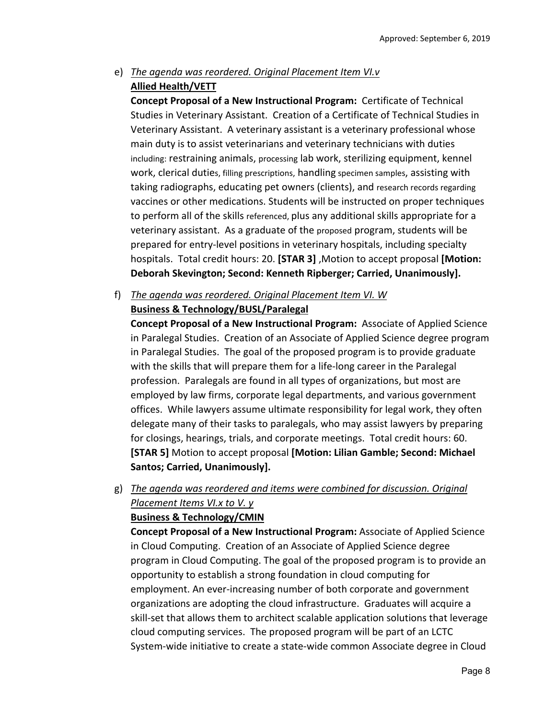# e) *The agenda was reordered. Original Placement Item VI.v*  **Allied Health/VETT**

**Concept Proposal of a New Instructional Program:** Certificate of Technical Studies in Veterinary Assistant. Creation of a Certificate of Technical Studies in Veterinary Assistant. A veterinary assistant is a veterinary professional whose main duty is to assist veterinarians and veterinary technicians with duties including: restraining animals, processing lab work, sterilizing equipment, kennel work, clerical duties, filling prescriptions, handling specimen samples, assisting with taking radiographs, educating pet owners (clients), and research records regarding vaccines or other medications. Students will be instructed on proper techniques to perform all of the skills referenced, plus any additional skills appropriate for a veterinary assistant. As a graduate of the proposed program, students will be prepared for entry‐level positions in veterinary hospitals, including specialty hospitals. Total credit hours: 20. **[STAR 3]** ,Motion to accept proposal **[Motion: Deborah Skevington; Second: Kenneth Ripberger; Carried, Unanimously].**

f) *The agenda was reordered. Original Placement Item VI. W*  **Business & Technology/BUSL/Paralegal** 

**Concept Proposal of a New Instructional Program:** Associate of Applied Science in Paralegal Studies. Creation of an Associate of Applied Science degree program in Paralegal Studies. The goal of the proposed program is to provide graduate with the skills that will prepare them for a life-long career in the Paralegal profession. Paralegals are found in all types of organizations, but most are employed by law firms, corporate legal departments, and various government offices. While lawyers assume ultimate responsibility for legal work, they often delegate many of their tasks to paralegals, who may assist lawyers by preparing for closings, hearings, trials, and corporate meetings. Total credit hours: 60. **[STAR 5]** Motion to accept proposal **[Motion: Lilian Gamble; Second: Michael Santos; Carried, Unanimously].**

g) *The agenda was reordered and items were combined for discussion. Original Placement Items VI.x to V. y* 

### **Business & Technology/CMIN**

**Concept Proposal of a New Instructional Program:** Associate of Applied Science in Cloud Computing. Creation of an Associate of Applied Science degree program in Cloud Computing. The goal of the proposed program is to provide an opportunity to establish a strong foundation in cloud computing for employment. An ever-increasing number of both corporate and government organizations are adopting the cloud infrastructure. Graduates will acquire a skill‐set that allows them to architect scalable application solutions that leverage cloud computing services. The proposed program will be part of an LCTC System‐wide initiative to create a state‐wide common Associate degree in Cloud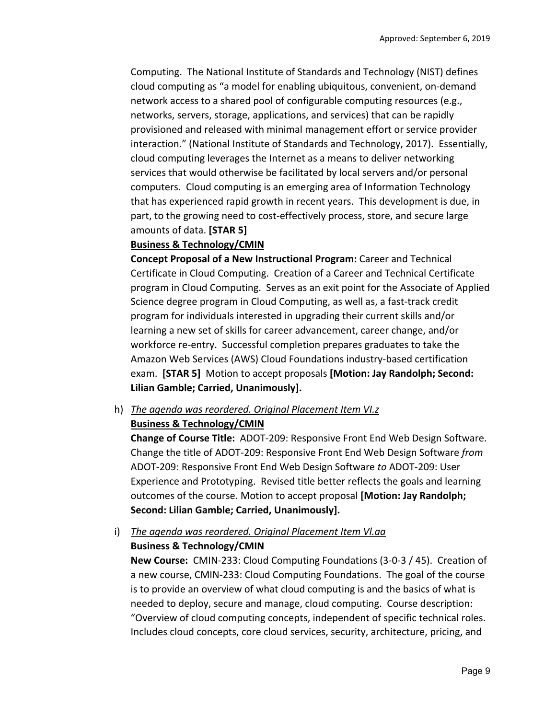Computing. The National Institute of Standards and Technology (NIST) defines cloud computing as "a model for enabling ubiquitous, convenient, on‐demand network access to a shared pool of configurable computing resources (e.g., networks, servers, storage, applications, and services) that can be rapidly provisioned and released with minimal management effort or service provider interaction." (National Institute of Standards and Technology, 2017). Essentially, cloud computing leverages the Internet as a means to deliver networking services that would otherwise be facilitated by local servers and/or personal computers. Cloud computing is an emerging area of Information Technology that has experienced rapid growth in recent years. This development is due, in part, to the growing need to cost‐effectively process, store, and secure large amounts of data. **[STAR 5]** 

#### **Business & Technology/CMIN**

**Concept Proposal of a New Instructional Program:** Career and Technical Certificate in Cloud Computing. Creation of a Career and Technical Certificate program in Cloud Computing. Serves as an exit point for the Associate of Applied Science degree program in Cloud Computing, as well as, a fast-track credit program for individuals interested in upgrading their current skills and/or learning a new set of skills for career advancement, career change, and/or workforce re-entry. Successful completion prepares graduates to take the Amazon Web Services (AWS) Cloud Foundations industry‐based certification exam. **[STAR 5]**  Motion to accept proposals **[Motion: Jay Randolph; Second: Lilian Gamble; Carried, Unanimously].**

h) *The agenda was reordered. Original Placement Item VI.z* 

### **Business & Technology/CMIN**

**Change of Course Title:** ADOT‐209: Responsive Front End Web Design Software. Change the title of ADOT‐209: Responsive Front End Web Design Software *from*  ADOT‐209: Responsive Front End Web Design Software *to* ADOT‐209: User Experience and Prototyping. Revised title better reflects the goals and learning outcomes of the course. Motion to accept proposal **[Motion: Jay Randolph; Second: Lilian Gamble; Carried, Unanimously].**

i) *The agenda was reordered. Original Placement Item Vl.aa*  **Business & Technology/CMIN** 

**New Course:** CMIN‐233: Cloud Computing Foundations (3‐0‐3 / 45). Creation of a new course, CMIN‐233: Cloud Computing Foundations. The goal of the course is to provide an overview of what cloud computing is and the basics of what is needed to deploy, secure and manage, cloud computing. Course description: "Overview of cloud computing concepts, independent of specific technical roles. Includes cloud concepts, core cloud services, security, architecture, pricing, and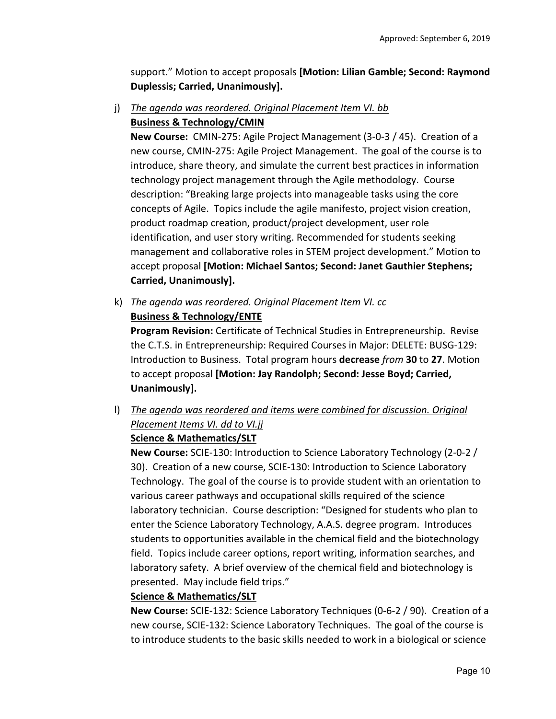support." Motion to accept proposals **[Motion: Lilian Gamble; Second: Raymond Duplessis; Carried, Unanimously].**

j) *The agenda was reordered. Original Placement Item VI. bb*  **Business & Technology/CMIN** 

**New Course:** CMIN‐275: Agile Project Management (3‐0‐3 / 45). Creation of a new course, CMIN‐275: Agile Project Management. The goal of the course is to introduce, share theory, and simulate the current best practices in information technology project management through the Agile methodology. Course description: "Breaking large projects into manageable tasks using the core concepts of Agile. Topics include the agile manifesto, project vision creation, product roadmap creation, product/project development, user role identification, and user story writing. Recommended for students seeking management and collaborative roles in STEM project development." Motion to accept proposal **[Motion: Michael Santos; Second: Janet Gauthier Stephens; Carried, Unanimously].**

k) *The agenda was reordered. Original Placement Item VI. cc* 

### **Business & Technology/ENTE**

**Program Revision:** Certificate of Technical Studies in Entrepreneurship. Revise the C.T.S. in Entrepreneurship: Required Courses in Major: DELETE: BUSG‐129: Introduction to Business. Total program hours **decrease** *from* **30** to **27**. Motion to accept proposal **[Motion: Jay Randolph; Second: Jesse Boyd; Carried, Unanimously].**

l) *The agenda was reordered and items were combined for discussion. Original Placement Items VI. dd to VI.jj* 

### **Science & Mathematics/SLT**

**New Course:** SCIE‐130: Introduction to Science Laboratory Technology (2‐0‐2 / 30). Creation of a new course, SCIE‐130: Introduction to Science Laboratory Technology. The goal of the course is to provide student with an orientation to various career pathways and occupational skills required of the science laboratory technician. Course description: "Designed for students who plan to enter the Science Laboratory Technology, A.A.S. degree program. Introduces students to opportunities available in the chemical field and the biotechnology field. Topics include career options, report writing, information searches, and laboratory safety. A brief overview of the chemical field and biotechnology is presented. May include field trips."

#### **Science & Mathematics/SLT**

**New Course:** SCIE‐132: Science Laboratory Techniques (0‐6‐2 / 90). Creation of a new course, SCIE‐132: Science Laboratory Techniques. The goal of the course is to introduce students to the basic skills needed to work in a biological or science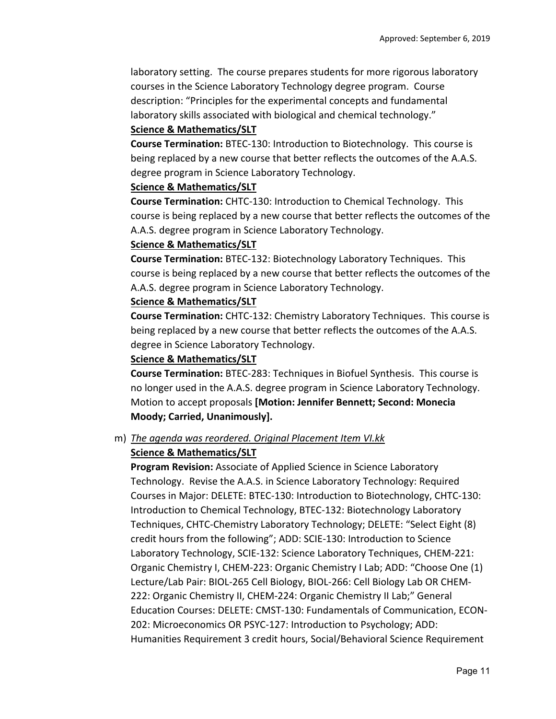laboratory setting. The course prepares students for more rigorous laboratory courses in the Science Laboratory Technology degree program. Course description: "Principles for the experimental concepts and fundamental laboratory skills associated with biological and chemical technology."

#### **Science & Mathematics/SLT**

**Course Termination:** BTEC‐130: Introduction to Biotechnology. This course is being replaced by a new course that better reflects the outcomes of the A.A.S. degree program in Science Laboratory Technology.

#### **Science & Mathematics/SLT**

**Course Termination:** CHTC‐130: Introduction to Chemical Technology. This course is being replaced by a new course that better reflects the outcomes of the A.A.S. degree program in Science Laboratory Technology.

#### **Science & Mathematics/SLT**

**Course Termination:** BTEC‐132: Biotechnology Laboratory Techniques. This course is being replaced by a new course that better reflects the outcomes of the A.A.S. degree program in Science Laboratory Technology.

### **Science & Mathematics/SLT**

**Course Termination:** CHTC‐132: Chemistry Laboratory Techniques. This course is being replaced by a new course that better reflects the outcomes of the A.A.S. degree in Science Laboratory Technology.

#### **Science & Mathematics/SLT**

**Course Termination:** BTEC‐283: Techniques in Biofuel Synthesis. This course is no longer used in the A.A.S. degree program in Science Laboratory Technology. Motion to accept proposals **[Motion: Jennifer Bennett; Second: Monecia Moody; Carried, Unanimously].**

#### m) *The agenda was reordered. Original Placement Item VI.kk*

### **Science & Mathematics/SLT**

**Program Revision:** Associate of Applied Science in Science Laboratory Technology. Revise the A.A.S. in Science Laboratory Technology: Required Courses in Major: DELETE: BTEC‐130: Introduction to Biotechnology, CHTC‐130: Introduction to Chemical Technology, BTEC‐132: Biotechnology Laboratory Techniques, CHTC‐Chemistry Laboratory Technology; DELETE: "Select Eight (8) credit hours from the following"; ADD: SCIE‐130: Introduction to Science Laboratory Technology, SCIE‐132: Science Laboratory Techniques, CHEM‐221: Organic Chemistry I, CHEM‐223: Organic Chemistry I Lab; ADD: "Choose One (1) Lecture/Lab Pair: BIOL‐265 Cell Biology, BIOL‐266: Cell Biology Lab OR CHEM‐ 222: Organic Chemistry II, CHEM‐224: Organic Chemistry II Lab;" General Education Courses: DELETE: CMST‐130: Fundamentals of Communication, ECON‐ 202: Microeconomics OR PSYC‐127: Introduction to Psychology; ADD: Humanities Requirement 3 credit hours, Social/Behavioral Science Requirement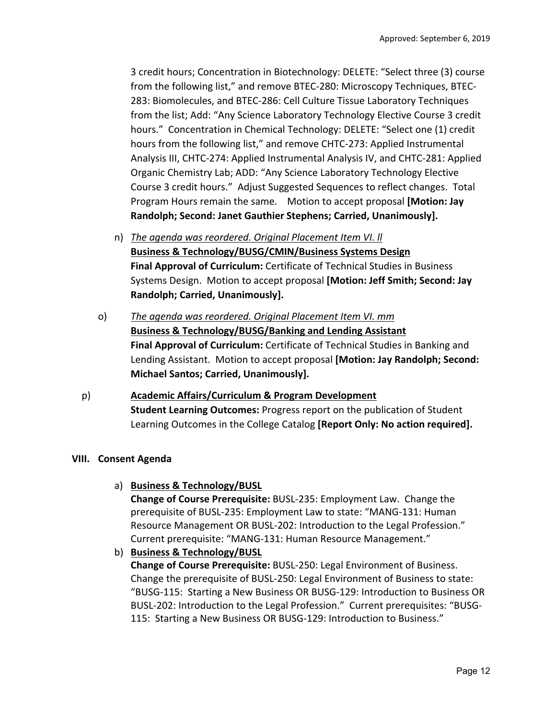3 credit hours; Concentration in Biotechnology: DELETE: "Select three (3) course from the following list," and remove BTEC‐280: Microscopy Techniques, BTEC‐ 283: Biomolecules, and BTEC‐286: Cell Culture Tissue Laboratory Techniques from the list; Add: "Any Science Laboratory Technology Elective Course 3 credit hours." Concentration in Chemical Technology: DELETE: "Select one (1) credit hours from the following list," and remove CHTC‐273: Applied Instrumental Analysis III, CHTC‐274: Applied Instrumental Analysis IV, and CHTC‐281: Applied Organic Chemistry Lab; ADD: "Any Science Laboratory Technology Elective Course 3 credit hours." Adjust Suggested Sequences to reflect changes. Total Program Hours remain the same. Motion to accept proposal **[Motion: Jay Randolph; Second: Janet Gauthier Stephens; Carried, Unanimously].**

- n) *The agenda was reordered. Original Placement Item VI. ll*  **Business & Technology/BUSG/CMIN/Business Systems Design Final Approval of Curriculum:** Certificate of Technical Studies in Business Systems Design. Motion to accept proposal **[Motion: Jeff Smith; Second: Jay Randolph; Carried, Unanimously].**
- o) *The agenda was reordered. Original Placement Item VI. mm*  **Business & Technology/BUSG/Banking and Lending Assistant Final Approval of Curriculum:** Certificate of Technical Studies in Banking and Lending Assistant. Motion to accept proposal **[Motion: Jay Randolph; Second: Michael Santos; Carried, Unanimously].**
- p) **Academic Affairs/Curriculum & Program Development Student Learning Outcomes:** Progress report on the publication of Student Learning Outcomes in the College Catalog **[Report Only: No action required].**

## **VIII. Consent Agenda**

a) **Business & Technology/BUSL** 

**Change of Course Prerequisite:** BUSL‐235: Employment Law. Change the prerequisite of BUSL‐235: Employment Law to state: "MANG‐131: Human Resource Management OR BUSL‐202: Introduction to the Legal Profession." Current prerequisite: "MANG‐131: Human Resource Management."

b) **Business & Technology/BUSL** 

**Change of Course Prerequisite:** BUSL‐250: Legal Environment of Business. Change the prerequisite of BUSL‐250: Legal Environment of Business to state: "BUSG‐115: Starting a New Business OR BUSG‐129: Introduction to Business OR BUSL‐202: Introduction to the Legal Profession." Current prerequisites: "BUSG‐ 115: Starting a New Business OR BUSG‐129: Introduction to Business."